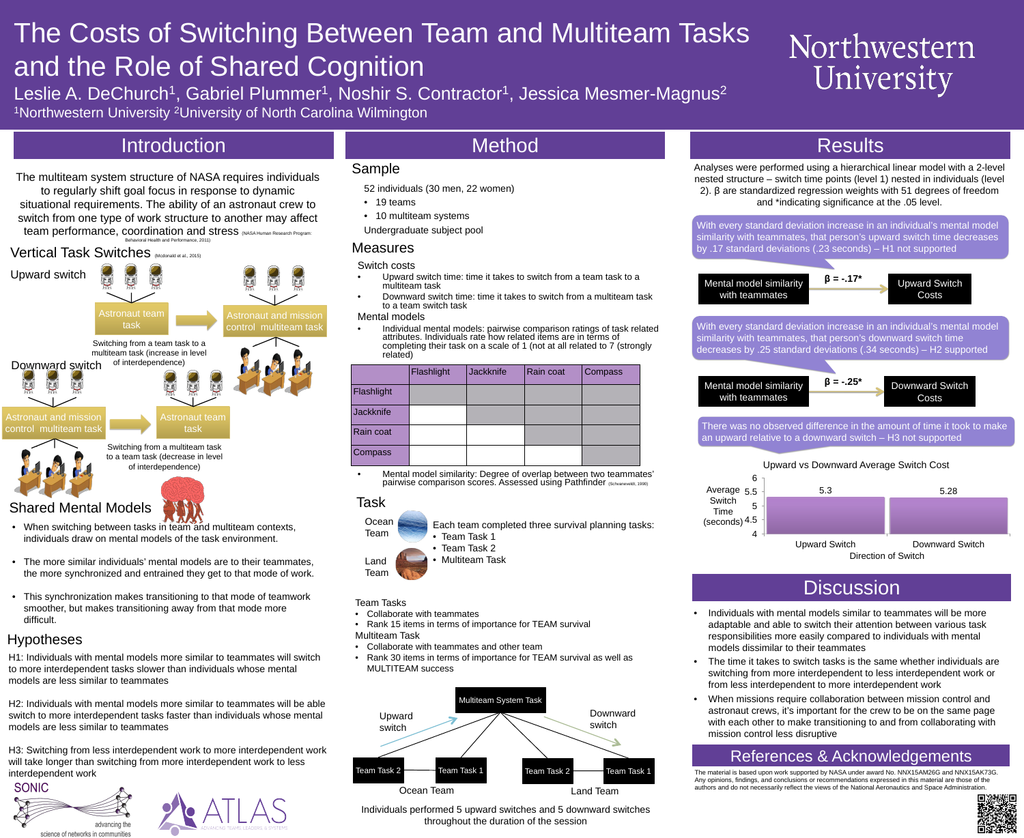# The Costs of Switching Between Team and Multiteam Tasks Department of Biomedical Engineering, Northwestern University, Evanston, IL, USA and the Role of Shared Cognition Leslie A. DeChurch<sup>1</sup>, Gabriel Plummer<sup>1</sup>, Noshir S. Contractor<sup>1</sup>, Jessica Mesmer-Magnus<sup>2</sup> <sup>1</sup>Northwestern University <sup>2</sup>University of North Carolina Wilmington

• 19 teams

# Introduction Results

Vertical Task Switches (Mcdonald et al., 2015) Upward switch Astronaut team Astronaut and mission task control multiteam task Switching from a team task to a multiteam task (increase in level of interdependence) Downward switch **SHEET** Astronaut and mission Astronaut team control multiteam task task Switching from a multiteam task to a team task (decrease in level of interdependence)

## Shared Mental Models

- When switching between tasks in team and multiteam contexts, individuals draw on mental models of the task environment.
- The more similar individuals' mental models are to their teammates, the more synchronized and entrained they get to that mode of work.
- This synchronization makes transitioning to that mode of teamwork smoother, but makes transitioning away from that mode more difficult.

**Ocean** Team



H1: Individuals with mental models more similar to teammates will switch to more interdependent tasks slower than individuals whose mental models are less similar to teammates

H2: Individuals with mental models more similar to teammates will be able switch to more interdependent tasks faster than individuals whose mental models are less similar to teammates

With every standard deviation increase in an individual's mental model similarity with teammates, that person's upward switch time decreases by .17 standard deviations (.23 seconds) – H1 not supported

H3: Switching from less interdependent work to more interdependent work will take longer than switching from more interdependent work to less interdependent work





# **Method**





52 individuals (30 men, 22 women)

• 10 multiteam systems

Undergraduate subject pool

Sample

Measures

Switch costs

multiteam task

to a team switch task

Mental models

related'

- Upward switch time: time it takes to switch from a team task to a
- Downward switch time: time it takes to switch from a multiteam task
- Individual mental models: pairwise comparison ratings of task related attributes. Individuals rate how related items are in terms of completing their task on a scale of 1 (not at all related to 7 (strongly



• Mental model similarity: Degree of overlap between two teammates' pairwise comparison scores. Assessed using Pathfinder (Schvaneveldt, 1990)

# Flashlight Jackknife Rain coat Compass Flashlight Jackknife Rain coat Compass

### Task





# Northwestern University

Each team completed three survival planning tasks: • Team Task 1

- Team Task 2
- Multiteam Task

### Team Tasks

- Collaborate with teammates
- Rank 15 items in terms of importance for TEAM survival Multiteam Task
- Collaborate with teammates and other team
- Rank 30 items in terms of importance for TEAM survival as well as MULTITEAM success



Individuals performed 5 upward switches and 5 downward switches throughout the duration of the session



Mental model similarity with teammates

**β = -.17\***



**β = -.25\***

With every standard deviation increase in an individual's mental model similarity with teammates, that person's downward switch time decreases by .25 standard deviations (.34 seconds) – H2 supported

There was no observed difference in the amount of time it took to make an upward relative to a downward switch – H3 not supported

- Individuals with mental models similar to teammates will be more adaptable and able to switch their attention between various task responsibilities more easily compared to individuals with mental models dissimilar to their teammates
- The time it takes to switch tasks is the same whether individuals are switching from more interdependent to less interdependent work or from less interdependent to more interdependent work
- When missions require collaboration between mission control and astronaut crews, it's important for the crew to be on the same page with each other to make transitioning to and from collaborating with mission control less disruptive

# References & Acknowledgements

### Hypotheses

Mental model similarity with teammates

The material is based upon work supported by NASA under award No. NNX15AM26G and NNX15AK73G. Any opinions, findings, and conclusions or recommendations expressed in this material are those of the authors and do not necessarily reflect the views of the National Aeronautics and Space Administration.

The multiteam system structure of NASA requires individuals to regularly shift goal focus in response to dynamic situational requirements. The ability of an astronaut crew to switch from one type of work structure to another may affect team performance, coordination and stress (NASA Human Research Program: Behavioral Health and Performance, 2011)

Analyses were performed using a hierarchical linear model with a 2-level nested structure – switch time points (level 1) nested in individuals (level 2). β are standardized regression weights with 51 degrees of freedom and \*indicating significance at the .05 level.



# **Discussion**

Direction of Switch



### Upward vs Downward Average Switch Cost